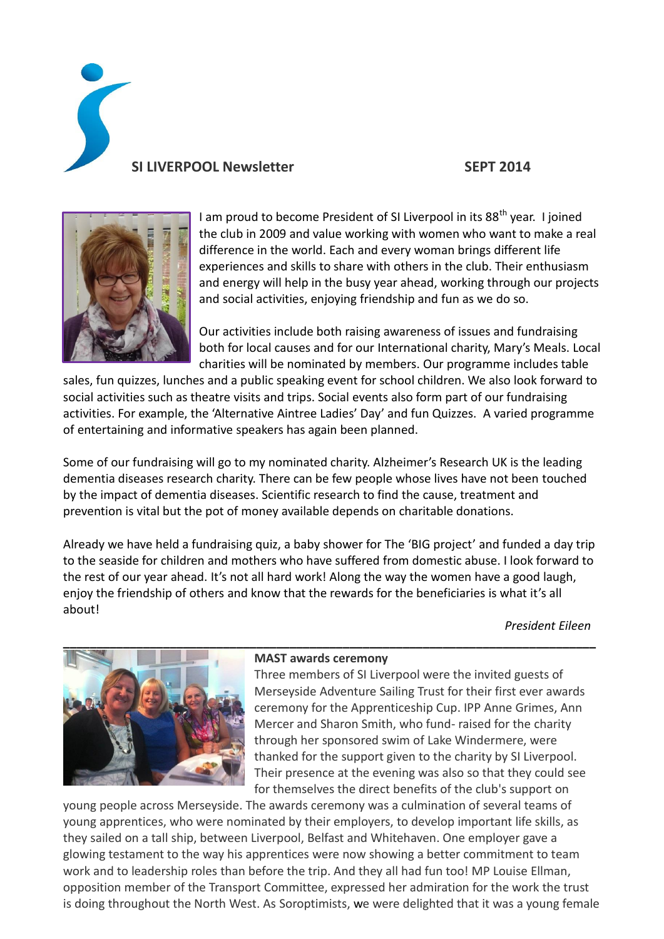**SI LIVERPOOL Newsletter SEPT 2014**



I am proud to become President of SI Liverpool in its  $88<sup>th</sup>$  year. I joined the club in 2009 and value working with women who want to make a real difference in the world. Each and every woman brings different life experiences and skills to share with others in the club. Their enthusiasm and energy will help in the busy year ahead, working through our projects and social activities, enjoying friendship and fun as we do so.

Our activities include both raising awareness of issues and fundraising both for local causes and for our International charity, Mary's Meals. Local charities will be nominated by members. Our programme includes table

sales, fun quizzes, lunches and a public speaking event for school children. We also look forward to social activities such as theatre visits and trips. Social events also form part of our fundraising activities. For example, the 'Alternative Aintree Ladies' Day' and fun Quizzes. A varied programme of entertaining and informative speakers has again been planned.

Some of our fundraising will go to my nominated charity. Alzheimer's Research UK is the leading dementia diseases research charity. There can be few people whose lives have not been touched by the impact of dementia diseases. Scientific research to find the cause, treatment and prevention is vital but the pot of money available depends on charitable donations.

Already we have held a fundraising quiz, a baby shower for The 'BIG project' and funded a day trip to the seaside for children and mothers who have suffered from domestic abuse. I look forward to the rest of our year ahead. It's not all hard work! Along the way the women have a good laugh, enjoy the friendship of others and know that the rewards for the beneficiaries is what it's all about!

*President Eileen*



### **MAST awards ceremony**

Three members of SI Liverpool were the invited guests of Merseyside Adventure Sailing Trust for their first ever awards ceremony for the Apprenticeship Cup. IPP Anne Grimes, Ann Mercer and Sharon Smith, who fund- raised for the charity through her sponsored swim of Lake Windermere, were thanked for the support given to the charity by SI Liverpool. Their presence at the evening was also so that they could see for themselves the direct benefits of the club's support on

young people across Merseyside. The awards ceremony was a culmination of several teams of young apprentices, who were nominated by their employers, to develop important life skills, as they sailed on a tall ship, between Liverpool, Belfast and Whitehaven. One employer gave a glowing testament to the way his apprentices were now showing a better commitment to team work and to leadership roles than before the trip. And they all had fun too! MP Louise Ellman, opposition member of the Transport Committee, expressed her admiration for the work the trust is doing throughout the North West. As Soroptimists, we were delighted that it was a young female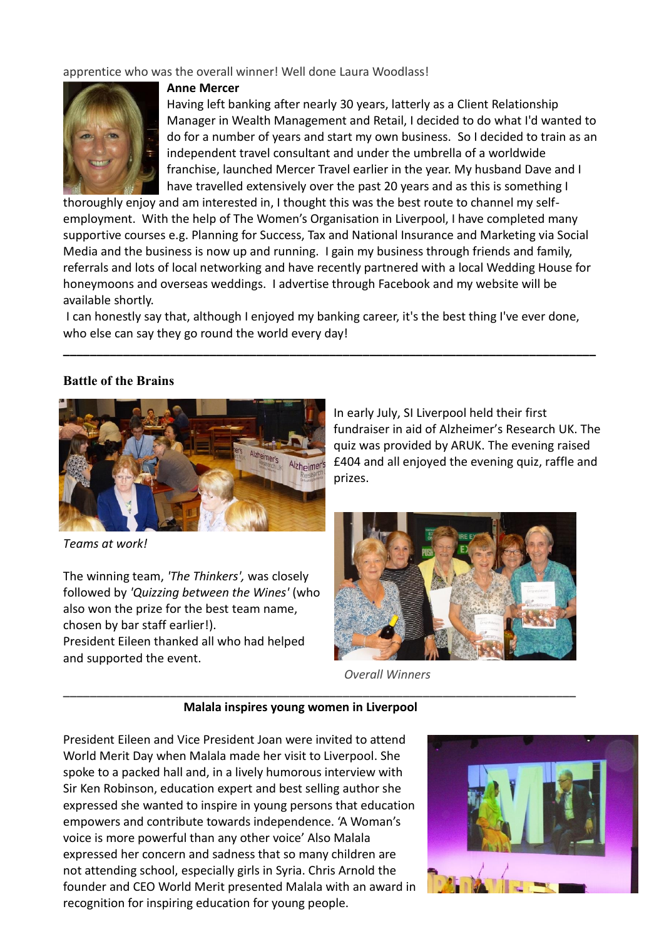apprentice who was the overall winner! Well done Laura Woodlass!



## **Anne Mercer**

Having left banking after nearly 30 years, latterly as a Client Relationship Manager in Wealth Management and Retail, I decided to do what I'd wanted to do for a number of years and start my own business. So I decided to train as an independent travel consultant and under the umbrella of a worldwide franchise, launched Mercer Travel earlier in the year. My husband Dave and I have travelled extensively over the past 20 years and as this is something I

thoroughly enjoy and am interested in, I thought this was the best route to channel my selfemployment. With the help of The Women's Organisation in Liverpool, I have completed many supportive courses e.g. Planning for Success, Tax and National Insurance and Marketing via Social Media and the business is now up and running. I gain my business through friends and family, referrals and lots of local networking and have recently partnered with a local Wedding House for honeymoons and overseas weddings. I advertise through Facebook and my website will be available shortly.

I can honestly say that, although I enjoyed my banking career, it's the best thing I've ever done, who else can say they go round the world every day!

**\_\_\_\_\_\_\_\_\_\_\_\_\_\_\_\_\_\_\_\_\_\_\_\_\_\_\_\_\_\_\_\_\_\_\_\_\_\_\_\_\_\_\_\_\_\_\_\_\_\_\_\_\_\_\_\_\_\_\_\_\_\_\_\_\_\_\_\_\_\_\_\_\_\_\_\_\_\_\_\_**

## **Battle of the Brains**



*Teams at work!*

The winning team, *'The Thinkers',* was closely followed by *'Quizzing between the Wines'* (who also won the prize for the best team name, chosen by bar staff earlier!). President Eileen thanked all who had helped and supported the event.

In early July, SI Liverpool held their first fundraiser in aid of Alzheimer's Research UK. The quiz was provided by ARUK. The evening raised £404 and all enjoyed the evening quiz, raffle and prizes.



*Overall Winners*

### **Malala inspires young women in Liverpool**

**\_\_\_\_\_\_\_\_\_\_\_\_\_\_\_\_\_\_\_\_\_\_\_\_\_\_\_\_\_\_\_\_\_\_\_\_\_\_\_\_\_\_\_\_\_\_\_\_\_\_\_\_\_\_\_\_\_\_\_\_\_\_\_\_\_\_\_\_\_\_\_\_\_\_\_\_\_**

President Eileen and Vice President Joan were invited to attend World Merit Day when Malala made her visit to Liverpool. She spoke to a packed hall and, in a lively humorous interview with Sir Ken Robinson, education expert and best selling author she expressed she wanted to inspire in young persons that education empowers and contribute towards independence. 'A Woman's voice is more powerful than any other voice' Also Malala expressed her concern and sadness that so many children are not attending school, especially girls in Syria. Chris Arnold the founder and CEO World Merit presented Malala with an award in recognition for inspiring education for young people.

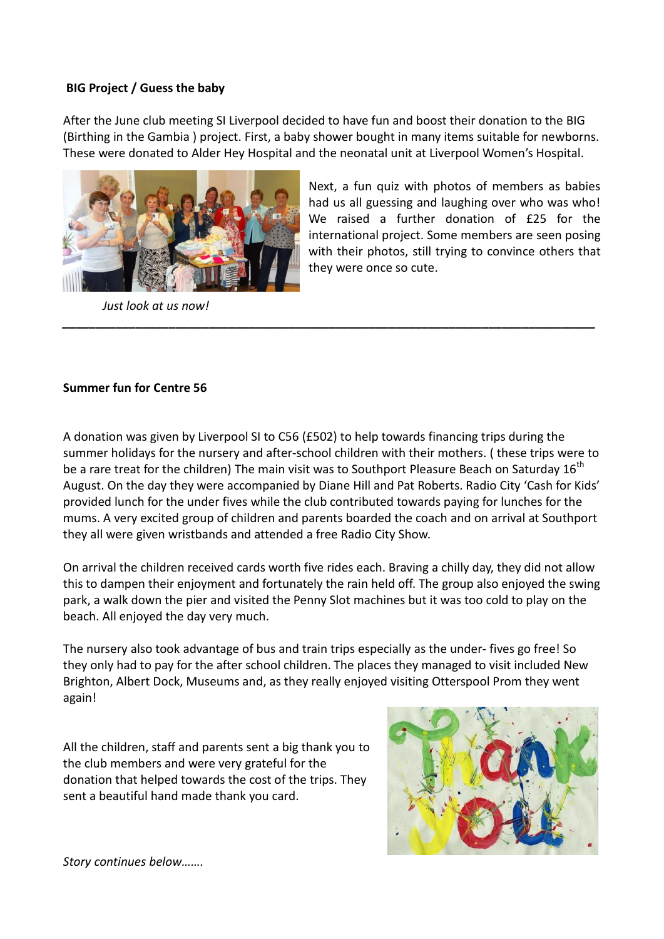# **BIG Project / Guess the baby**

After the June club meeting SI Liverpool decided to have fun and boost their donation to the BIG (Birthing in the Gambia ) project. First, a baby shower bought in many items suitable for newborns. These were donated to Alder Hey Hospital and the neonatal unit at Liverpool Women's Hospital.



 *Just look at us now!*

Next, a fun quiz with photos of members as babies had us all guessing and laughing over who was who! We raised a further donation of £25 for the international project. Some members are seen posing with their photos, still trying to convince others that they were once so cute.

# **Summer fun for Centre 56**

A donation was given by Liverpool SI to C56 (£502) to help towards financing trips during the summer holidays for the nursery and after-school children with their mothers. ( these trips were to be a rare treat for the children) The main visit was to Southport Pleasure Beach on Saturday 16<sup>th</sup> August. On the day they were accompanied by Diane Hill and Pat Roberts. Radio City 'Cash for Kids' provided lunch for the under fives while the club contributed towards paying for lunches for the mums. A very excited group of children and parents boarded the coach and on arrival at Southport they all were given wristbands and attended a free Radio City Show.

*\_\_\_\_\_\_\_\_\_\_\_\_\_\_\_\_\_\_\_\_\_\_\_\_\_\_\_\_\_\_\_\_\_\_\_\_\_\_\_\_\_\_\_\_\_\_\_\_\_\_\_\_\_\_\_\_\_\_\_\_\_\_\_\_\_\_\_\_\_\_\_\_\_\_\_\_\_\_\_\_*

On arrival the children received cards worth five rides each. Braving a chilly day, they did not allow this to dampen their enjoyment and fortunately the rain held off. The group also enjoyed the swing park, a walk down the pier and visited the Penny Slot machines but it was too cold to play on the beach. All enjoyed the day very much.

The nursery also took advantage of bus and train trips especially as the under- fives go free! So they only had to pay for the after school children. The places they managed to visit included New Brighton, Albert Dock, Museums and, as they really enjoyed visiting Otterspool Prom they went again!

All the children, staff and parents sent a big thank you to the club members and were very grateful for the donation that helped towards the cost of the trips. They sent a beautiful hand made thank you card.



*Story continues below…….*